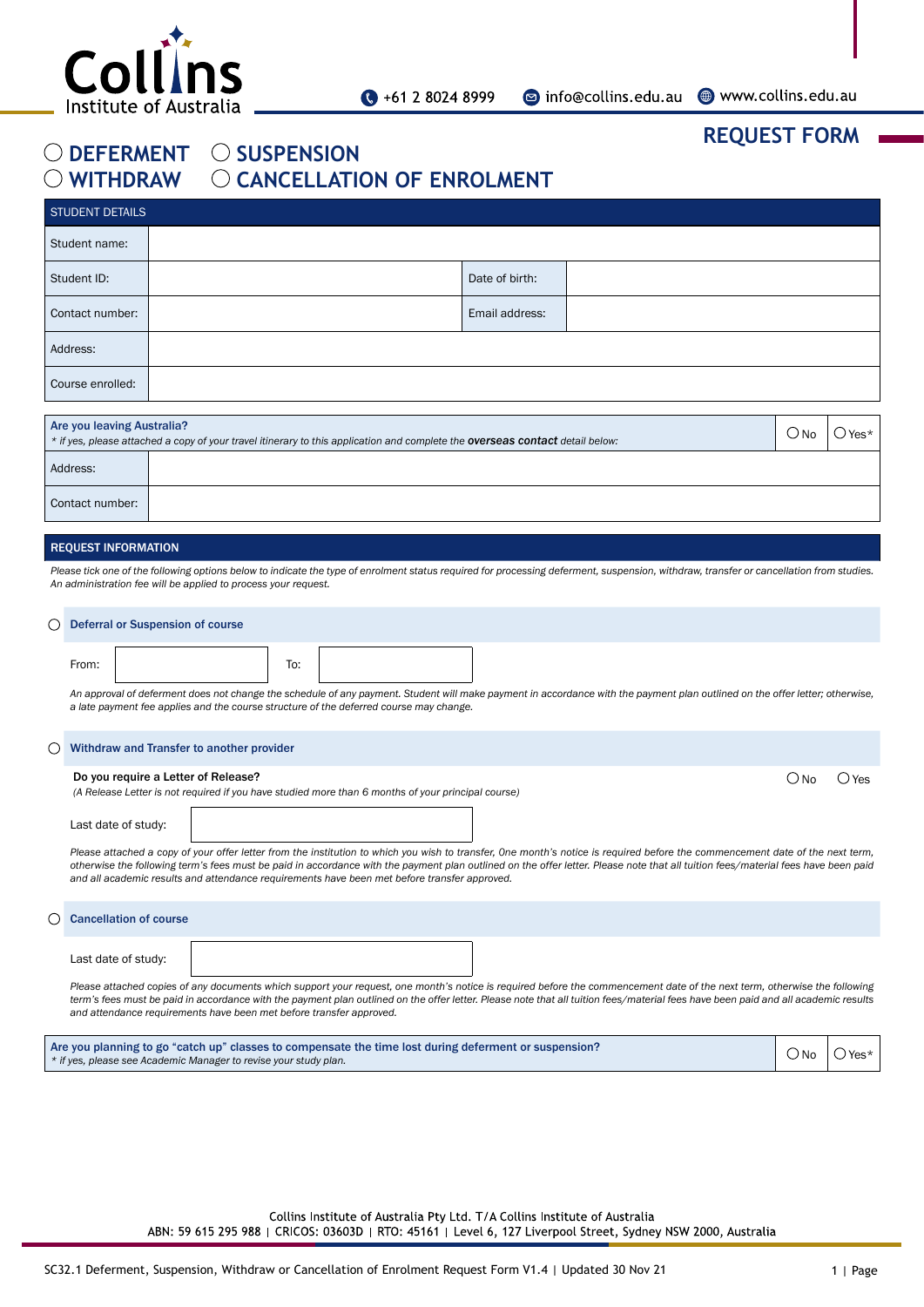

**REQUEST FORM**

## O DEFERMENT O SUSPENSION  $\bigcirc$  WITHDRAW  $\bigcirc$  CANCELLATION OF ENROLMENT

| STUDENT DETAILS                                                                                                                                                                      |  |                |  |  |  |
|--------------------------------------------------------------------------------------------------------------------------------------------------------------------------------------|--|----------------|--|--|--|
| Student name:                                                                                                                                                                        |  |                |  |  |  |
| Student ID:                                                                                                                                                                          |  | Date of birth: |  |  |  |
| Contact number:                                                                                                                                                                      |  | Email address: |  |  |  |
| Address:                                                                                                                                                                             |  |                |  |  |  |
| Course enrolled:                                                                                                                                                                     |  |                |  |  |  |
|                                                                                                                                                                                      |  |                |  |  |  |
| Are you leaving Australia?<br>$O$ No<br>Yes*<br>* if yes, please attached a copy of your travel itinerary to this application and complete the <b>overseas contact</b> detail below: |  |                |  |  |  |

|                 | * if yes, please attached a copy of your travel itinerary to this application and complete the <b>overseas contact</b> detail below: | <sup>)</sup> No | $Y$ es* |
|-----------------|--------------------------------------------------------------------------------------------------------------------------------------|-----------------|---------|
| Address:        |                                                                                                                                      |                 |         |
| Contact number: |                                                                                                                                      |                 |         |

## REQUEST INFORMATION

 $\bigcap_{n=1}^{\infty}$  Before  $\bigcup_{n=1}^{\infty}$  or  $\bigcap_{n=1}^{\infty}$  or  $\bigcap_{n=1}^{\infty}$ 

*Please tick one of the following options below to indicate the type of enrolment status required for processing deferment, suspension, withdraw, transfer or cancellation from studies. An administration fee will be applied to process your request.*

|                  | Delerial of Susperision of Course                                                                                                                                                                                                                                                                                                                                                                                                                                  |         |          |
|------------------|--------------------------------------------------------------------------------------------------------------------------------------------------------------------------------------------------------------------------------------------------------------------------------------------------------------------------------------------------------------------------------------------------------------------------------------------------------------------|---------|----------|
|                  | From:<br>To:<br>An approval of deferment does not change the schedule of any payment. Student will make payment in accordance with the payment plan outlined on the offer letter; otherwise,<br>a late payment fee applies and the course structure of the deferred course may change.                                                                                                                                                                             |         |          |
| $\left( \right)$ | Withdraw and Transfer to another provider                                                                                                                                                                                                                                                                                                                                                                                                                          |         |          |
|                  | Do you require a Letter of Release?                                                                                                                                                                                                                                                                                                                                                                                                                                | () No   | $()$ Yes |
|                  | (A Release Letter is not required if you have studied more than 6 months of your principal course)                                                                                                                                                                                                                                                                                                                                                                 |         |          |
|                  | Last date of study:                                                                                                                                                                                                                                                                                                                                                                                                                                                |         |          |
|                  | Please attached a copy of your offer letter from the institution to which you wish to transfer, One month's notice is required before the commencement date of the next term,<br>otherwise the following term's fees must be paid in accordance with the payment plan outlined on the offer letter. Please note that all tuition fees/material fees have been paid<br>and all academic results and attendance requirements have been met before transfer approved. |         |          |
|                  | <b>Cancellation of course</b>                                                                                                                                                                                                                                                                                                                                                                                                                                      |         |          |
|                  | Last date of study:                                                                                                                                                                                                                                                                                                                                                                                                                                                |         |          |
|                  | Please attached copies of any documents which support your request, one month's notice is required before the commencement date of the next term, otherwise the following<br>term's fees must be paid in accordance with the payment plan outlined on the offer letter. Please note that all tuition fees/material fees have been paid and all academic results<br>and attendance requirements have been met before transfer approved.                             |         |          |
|                  | Are you planning to go "catch up" classes to compensate the time lost during deferment or suspension?<br>* if yes, please see Academic Manager to revise your study plan.                                                                                                                                                                                                                                                                                          | $()$ No | Yes*     |

Collins Institute of Australia Pty Ltd. T/A Collins Institute of Australia ABN: 59 615 295 988 | CRICOS: 03603D | RTO: 45161 | Level 6, 127 Liverpool Street, Sydney NSW 2000, Australia